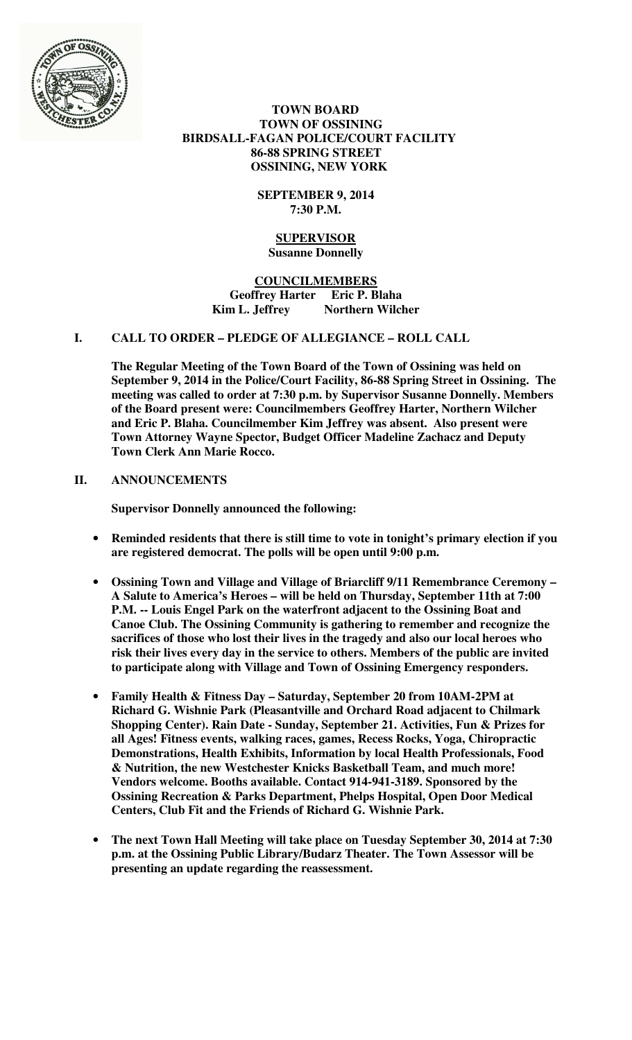

 **TOWN BOARD TOWN OF OSSINING BIRDSALL-FAGAN POLICE/COURT FACILITY 86-88 SPRING STREET OSSINING, NEW YORK** 

> **SEPTEMBER 9, 2014 7:30 P.M.**

#### **SUPERVISOR Susanne Donnelly**

**COUNCILMEMBERS Geoffrey Harter Eric P. Blaha**  Kim L. Jeffrey Northern Wilcher

# **I. CALL TO ORDER – PLEDGE OF ALLEGIANCE – ROLL CALL**

**The Regular Meeting of the Town Board of the Town of Ossining was held on September 9, 2014 in the Police/Court Facility, 86-88 Spring Street in Ossining. The meeting was called to order at 7:30 p.m. by Supervisor Susanne Donnelly. Members of the Board present were: Councilmembers Geoffrey Harter, Northern Wilcher and Eric P. Blaha. Councilmember Kim Jeffrey was absent. Also present were Town Attorney Wayne Spector, Budget Officer Madeline Zachacz and Deputy Town Clerk Ann Marie Rocco.** 

# **II. ANNOUNCEMENTS**

**Supervisor Donnelly announced the following:** 

- **Reminded residents that there is still time to vote in tonight's primary election if you are registered democrat. The polls will be open until 9:00 p.m.**
- **Ossining Town and Village and Village of Briarcliff 9/11 Remembrance Ceremony A Salute to America's Heroes – will be held on Thursday, September 11th at 7:00 P.M. -- Louis Engel Park on the waterfront adjacent to the Ossining Boat and Canoe Club. The Ossining Community is gathering to remember and recognize the sacrifices of those who lost their lives in the tragedy and also our local heroes who risk their lives every day in the service to others. Members of the public are invited to participate along with Village and Town of Ossining Emergency responders.**
- **Family Health & Fitness Day Saturday, September 20 from 10AM-2PM at Richard G. Wishnie Park (Pleasantville and Orchard Road adjacent to Chilmark Shopping Center). Rain Date - Sunday, September 21. Activities, Fun & Prizes for all Ages! Fitness events, walking races, games, Recess Rocks, Yoga, Chiropractic Demonstrations, Health Exhibits, Information by local Health Professionals, Food & Nutrition, the new Westchester Knicks Basketball Team, and much more! Vendors welcome. Booths available. Contact 914-941-3189. Sponsored by the Ossining Recreation & Parks Department, Phelps Hospital, Open Door Medical Centers, Club Fit and the Friends of Richard G. Wishnie Park.**
- **The next Town Hall Meeting will take place on Tuesday September 30, 2014 at 7:30 p.m. at the Ossining Public Library/Budarz Theater. The Town Assessor will be presenting an update regarding the reassessment.**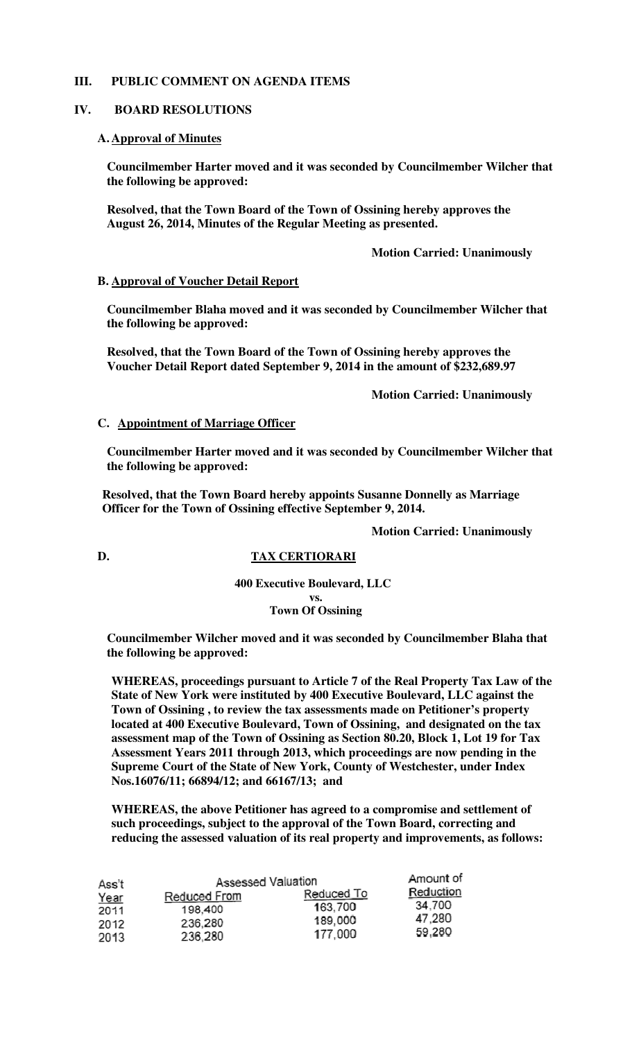# **III. PUBLIC COMMENT ON AGENDA ITEMS**

#### **IV. BOARD RESOLUTIONS**

#### **A. Approval of Minutes**

**Councilmember Harter moved and it was seconded by Councilmember Wilcher that the following be approved:** 

**Resolved, that the Town Board of the Town of Ossining hereby approves the August 26, 2014, Minutes of the Regular Meeting as presented.** 

 **Motion Carried: Unanimously** 

#### **B. Approval of Voucher Detail Report**

**Councilmember Blaha moved and it was seconded by Councilmember Wilcher that the following be approved:** 

**Resolved, that the Town Board of the Town of Ossining hereby approves the Voucher Detail Report dated September 9, 2014 in the amount of \$232,689.97** 

 **Motion Carried: Unanimously** 

#### **C. Appointment of Marriage Officer**

**Councilmember Harter moved and it was seconded by Councilmember Wilcher that the following be approved:** 

**Resolved, that the Town Board hereby appoints Susanne Donnelly as Marriage Officer for the Town of Ossining effective September 9, 2014.** 

**Motion Carried: Unanimously**

**D. TAX CERTIORARI**

**400 Executive Boulevard, LLC vs. Town Of Ossining**

**Councilmember Wilcher moved and it was seconded by Councilmember Blaha that the following be approved:** 

**WHEREAS, proceedings pursuant to Article 7 of the Real Property Tax Law of the State of New York were instituted by 400 Executive Boulevard, LLC against the Town of Ossining , to review the tax assessments made on Petitioner's property located at 400 Executive Boulevard, Town of Ossining, and designated on the tax assessment map of the Town of Ossining as Section 80.20, Block 1, Lot 19 for Tax Assessment Years 2011 through 2013, which proceedings are now pending in the Supreme Court of the State of New York, County of Westchester, under Index Nos.16076/11; 66894/12; and 66167/13; and** 

**WHEREAS, the above Petitioner has agreed to a compromise and settlement of such proceedings, subject to the approval of the Town Board, correcting and reducing the assessed valuation of its real property and improvements, as follows:** 

| Ass't | <b>Assessed Valuation</b> |            | Amount of |
|-------|---------------------------|------------|-----------|
| Year  | Reduced From              | Reduced To | Reduction |
| 2011  | 198,400                   | 163,700    | 34.700    |
| 2012  | 236,280                   | 189,000    | 47,280    |
| 2013  | 236,280                   | 177.000    | 59.280    |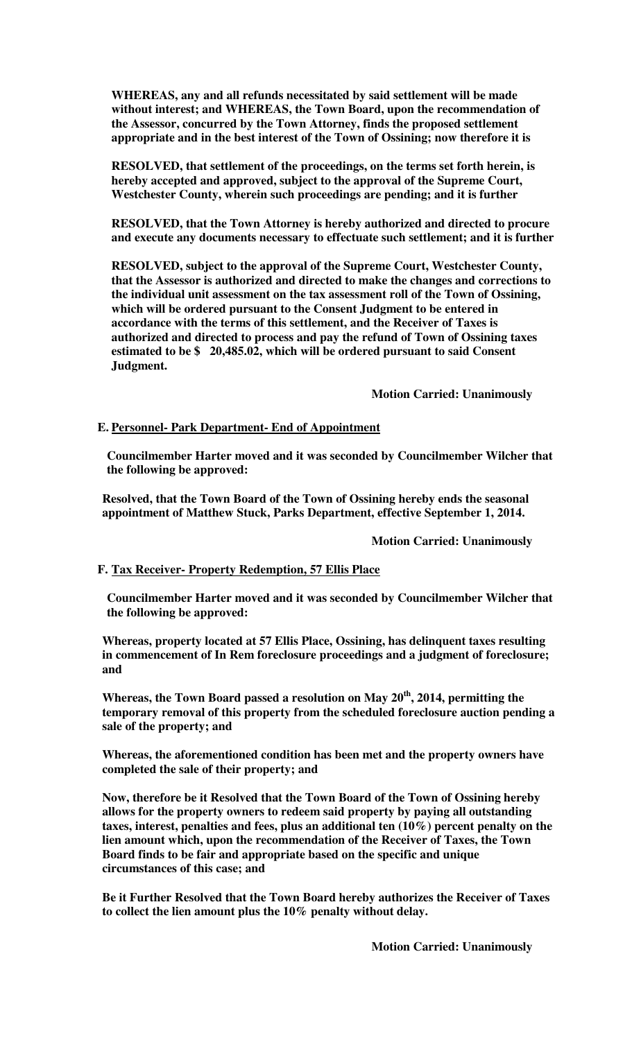**WHEREAS, any and all refunds necessitated by said settlement will be made without interest; and WHEREAS, the Town Board, upon the recommendation of the Assessor, concurred by the Town Attorney, finds the proposed settlement appropriate and in the best interest of the Town of Ossining; now therefore it is** 

**RESOLVED, that settlement of the proceedings, on the terms set forth herein, is hereby accepted and approved, subject to the approval of the Supreme Court, Westchester County, wherein such proceedings are pending; and it is further** 

**RESOLVED, that the Town Attorney is hereby authorized and directed to procure and execute any documents necessary to effectuate such settlement; and it is further** 

**RESOLVED, subject to the approval of the Supreme Court, Westchester County, that the Assessor is authorized and directed to make the changes and corrections to the individual unit assessment on the tax assessment roll of the Town of Ossining, which will be ordered pursuant to the Consent Judgment to be entered in accordance with the terms of this settlement, and the Receiver of Taxes is authorized and directed to process and pay the refund of Town of Ossining taxes estimated to be \$ 20,485.02, which will be ordered pursuant to said Consent Judgment.** 

 **Motion Carried: Unanimously** 

#### **E. Personnel- Park Department- End of Appointment**

**Councilmember Harter moved and it was seconded by Councilmember Wilcher that the following be approved:** 

**Resolved, that the Town Board of the Town of Ossining hereby ends the seasonal appointment of Matthew Stuck, Parks Department, effective September 1, 2014.** 

 **Motion Carried: Unanimously** 

#### **F. Tax Receiver- Property Redemption, 57 Ellis Place**

**Councilmember Harter moved and it was seconded by Councilmember Wilcher that the following be approved:** 

**Whereas, property located at 57 Ellis Place, Ossining, has delinquent taxes resulting in commencement of In Rem foreclosure proceedings and a judgment of foreclosure; and** 

**Whereas, the Town Board passed a resolution on May 20th, 2014, permitting the temporary removal of this property from the scheduled foreclosure auction pending a sale of the property; and** 

**Whereas, the aforementioned condition has been met and the property owners have completed the sale of their property; and** 

**Now, therefore be it Resolved that the Town Board of the Town of Ossining hereby allows for the property owners to redeem said property by paying all outstanding taxes, interest, penalties and fees, plus an additional ten (10%) percent penalty on the lien amount which, upon the recommendation of the Receiver of Taxes, the Town Board finds to be fair and appropriate based on the specific and unique circumstances of this case; and** 

**Be it Further Resolved that the Town Board hereby authorizes the Receiver of Taxes to collect the lien amount plus the 10% penalty without delay.**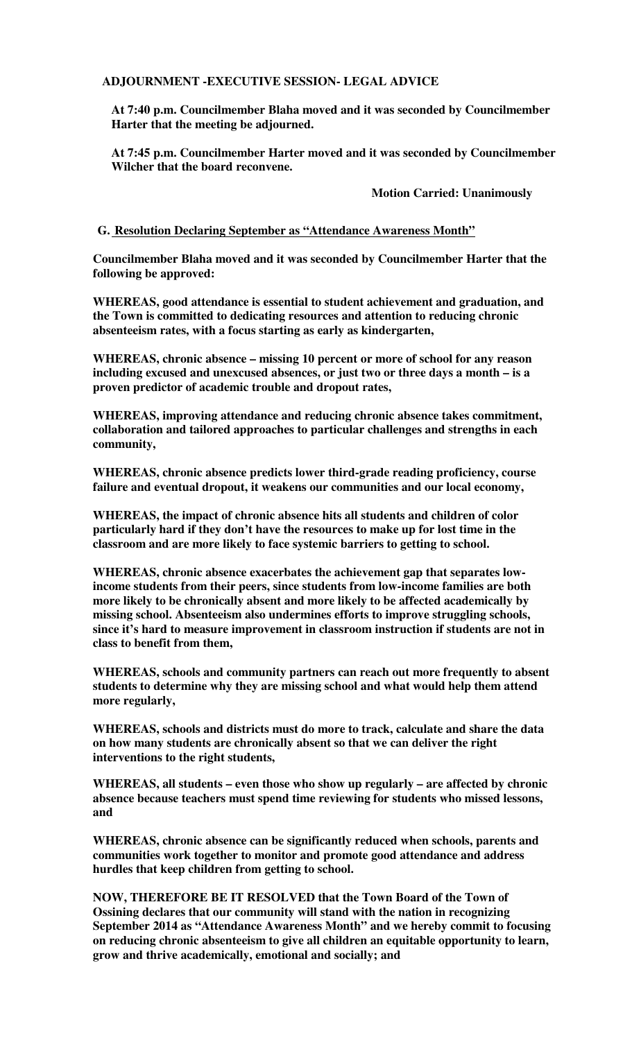**ADJOURNMENT -EXECUTIVE SESSION- LEGAL ADVICE** 

**At 7:40 p.m. Councilmember Blaha moved and it was seconded by Councilmember Harter that the meeting be adjourned.** 

**At 7:45 p.m. Councilmember Harter moved and it was seconded by Councilmember Wilcher that the board reconvene.** 

 **Motion Carried: Unanimously**

**G. Resolution Declaring September as "Attendance Awareness Month"**

**Councilmember Blaha moved and it was seconded by Councilmember Harter that the following be approved:** 

**WHEREAS, good attendance is essential to student achievement and graduation, and the Town is committed to dedicating resources and attention to reducing chronic absenteeism rates, with a focus starting as early as kindergarten,** 

**WHEREAS, chronic absence – missing 10 percent or more of school for any reason including excused and unexcused absences, or just two or three days a month – is a proven predictor of academic trouble and dropout rates,** 

**WHEREAS, improving attendance and reducing chronic absence takes commitment, collaboration and tailored approaches to particular challenges and strengths in each community,** 

**WHEREAS, chronic absence predicts lower third-grade reading proficiency, course failure and eventual dropout, it weakens our communities and our local economy,** 

**WHEREAS, the impact of chronic absence hits all students and children of color particularly hard if they don't have the resources to make up for lost time in the classroom and are more likely to face systemic barriers to getting to school.** 

**WHEREAS, chronic absence exacerbates the achievement gap that separates lowincome students from their peers, since students from low-income families are both more likely to be chronically absent and more likely to be affected academically by missing school. Absenteeism also undermines efforts to improve struggling schools, since it's hard to measure improvement in classroom instruction if students are not in class to benefit from them,** 

**WHEREAS, schools and community partners can reach out more frequently to absent students to determine why they are missing school and what would help them attend more regularly,** 

**WHEREAS, schools and districts must do more to track, calculate and share the data on how many students are chronically absent so that we can deliver the right interventions to the right students,** 

**WHEREAS, all students – even those who show up regularly – are affected by chronic absence because teachers must spend time reviewing for students who missed lessons, and** 

**WHEREAS, chronic absence can be significantly reduced when schools, parents and communities work together to monitor and promote good attendance and address hurdles that keep children from getting to school.** 

**NOW, THEREFORE BE IT RESOLVED that the Town Board of the Town of Ossining declares that our community will stand with the nation in recognizing September 2014 as "Attendance Awareness Month" and we hereby commit to focusing on reducing chronic absenteeism to give all children an equitable opportunity to learn, grow and thrive academically, emotional and socially; and**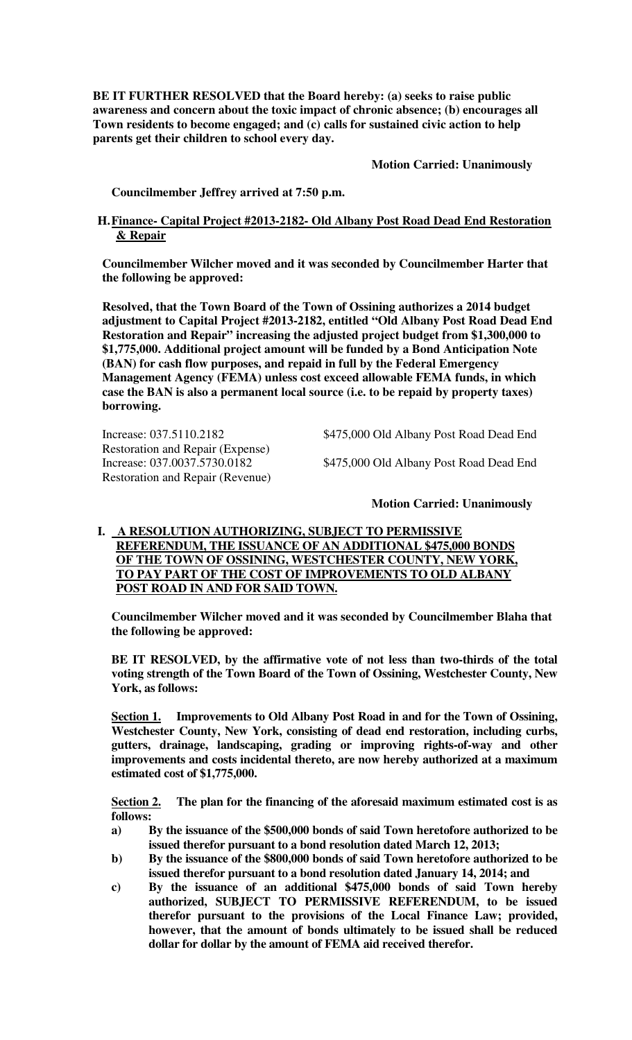**BE IT FURTHER RESOLVED that the Board hereby: (a) seeks to raise public awareness and concern about the toxic impact of chronic absence; (b) encourages all Town residents to become engaged; and (c) calls for sustained civic action to help parents get their children to school every day.** 

 **Motion Carried: Unanimously**

 **Councilmember Jeffrey arrived at 7:50 p.m.** 

## **H.Finance- Capital Project #2013-2182- Old Albany Post Road Dead End Restoration & Repair**

**Councilmember Wilcher moved and it was seconded by Councilmember Harter that the following be approved:** 

**Resolved, that the Town Board of the Town of Ossining authorizes a 2014 budget adjustment to Capital Project #2013-2182, entitled "Old Albany Post Road Dead End Restoration and Repair" increasing the adjusted project budget from \$1,300,000 to \$1,775,000. Additional project amount will be funded by a Bond Anticipation Note (BAN) for cash flow purposes, and repaid in full by the Federal Emergency Management Agency (FEMA) unless cost exceed allowable FEMA funds, in which case the BAN is also a permanent local source (i.e. to be repaid by property taxes) borrowing.** 

Restoration and Repair (Expense) Restoration and Repair (Revenue)

Increase: 037.5110.2182 \$475,000 Old Albany Post Road Dead End

Increase: 037.0037.5730.0182 \$475,000 Old Albany Post Road Dead End

## **Motion Carried: Unanimously**

# **I. A RESOLUTION AUTHORIZING, SUBJECT TO PERMISSIVE REFERENDUM, THE ISSUANCE OF AN ADDITIONAL \$475,000 BONDS OF THE TOWN OF OSSINING, WESTCHESTER COUNTY, NEW YORK, TO PAY PART OF THE COST OF IMPROVEMENTS TO OLD ALBANY POST ROAD IN AND FOR SAID TOWN.**

**Councilmember Wilcher moved and it was seconded by Councilmember Blaha that the following be approved:** 

**BE IT RESOLVED, by the affirmative vote of not less than two-thirds of the total voting strength of the Town Board of the Town of Ossining, Westchester County, New York, as follows:** 

**Section 1. Improvements to Old Albany Post Road in and for the Town of Ossining, Westchester County, New York, consisting of dead end restoration, including curbs, gutters, drainage, landscaping, grading or improving rights-of-way and other improvements and costs incidental thereto, are now hereby authorized at a maximum estimated cost of \$1,775,000.** 

**Section 2. The plan for the financing of the aforesaid maximum estimated cost is as follows:** 

- **a) By the issuance of the \$500,000 bonds of said Town heretofore authorized to be issued therefor pursuant to a bond resolution dated March 12, 2013;**
- **b) By the issuance of the \$800,000 bonds of said Town heretofore authorized to be issued therefor pursuant to a bond resolution dated January 14, 2014; and**
- **c) By the issuance of an additional \$475,000 bonds of said Town hereby authorized, SUBJECT TO PERMISSIVE REFERENDUM, to be issued therefor pursuant to the provisions of the Local Finance Law; provided, however, that the amount of bonds ultimately to be issued shall be reduced dollar for dollar by the amount of FEMA aid received therefor.**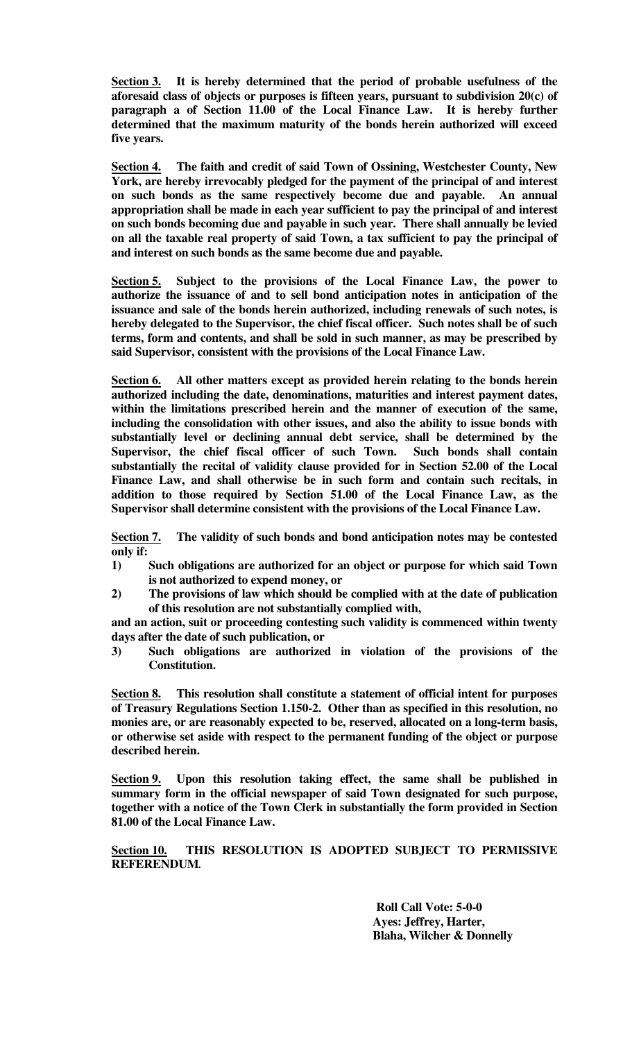**Section 3. It is hereby determined that the period of probable usefulness of the aforesaid class of objects or purposes is fifteen years, pursuant to subdivision 20(c) of paragraph a of Section 11.00 of the Local Finance Law. It is hereby further determined that the maximum maturity of the bonds herein authorized will exceed five years.** 

**Section 4. The faith and credit of said Town of Ossining, Westchester County, New York, are hereby irrevocably pledged for the payment of the principal of and interest on such bonds as the same respectively become due and payable. An annual appropriation shall be made in each year sufficient to pay the principal of and interest on such bonds becoming due and payable in such year. There shall annually be levied on all the taxable real property of said Town, a tax sufficient to pay the principal of and interest on such bonds as the same become due and payable.** 

**Section 5. Subject to the provisions of the Local Finance Law, the power to authorize the issuance of and to sell bond anticipation notes in anticipation of the issuance and sale of the bonds herein authorized, including renewals of such notes, is hereby delegated to the Supervisor, the chief fiscal officer. Such notes shall be of such terms, form and contents, and shall be sold in such manner, as may be prescribed by said Supervisor, consistent with the provisions of the Local Finance Law.** 

**Section 6. All other matters except as provided herein relating to the bonds herein authorized including the date, denominations, maturities and interest payment dates, within the limitations prescribed herein and the manner of execution of the same, including the consolidation with other issues, and also the ability to issue bonds with substantially level or declining annual debt service, shall be determined by the Supervisor, the chief fiscal officer of such Town. Such bonds shall contain substantially the recital of validity clause provided for in Section 52.00 of the Local Finance Law, and shall otherwise be in such form and contain such recitals, in addition to those required by Section 51.00 of the Local Finance Law, as the Supervisor shall determine consistent with the provisions of the Local Finance Law.** 

**Section 7. The validity of such bonds and bond anticipation notes may be contested only if:** 

- **1) Such obligations are authorized for an object or purpose for which said Town is not authorized to expend money, or**
- **2) The provisions of law which should be complied with at the date of publication of this resolution are not substantially complied with,**

**and an action, suit or proceeding contesting such validity is commenced within twenty days after the date of such publication, or** 

**3) Such obligations are authorized in violation of the provisions of the Constitution.** 

**Section 8. This resolution shall constitute a statement of official intent for purposes of Treasury Regulations Section 1.150-2. Other than as specified in this resolution, no monies are, or are reasonably expected to be, reserved, allocated on a long-term basis, or otherwise set aside with respect to the permanent funding of the object or purpose described herein.** 

**Section 9. Upon this resolution taking effect, the same shall be published in summary form in the official newspaper of said Town designated for such purpose, together with a notice of the Town Clerk in substantially the form provided in Section 81.00 of the Local Finance Law.** 

**Section 10. THIS RESOLUTION IS ADOPTED SUBJECT TO PERMISSIVE REFERENDUM***.* 

> **Roll Call Vote: 5-0-0 Ayes: Jeffrey, Harter, Blaha, Wilcher & Donnelly**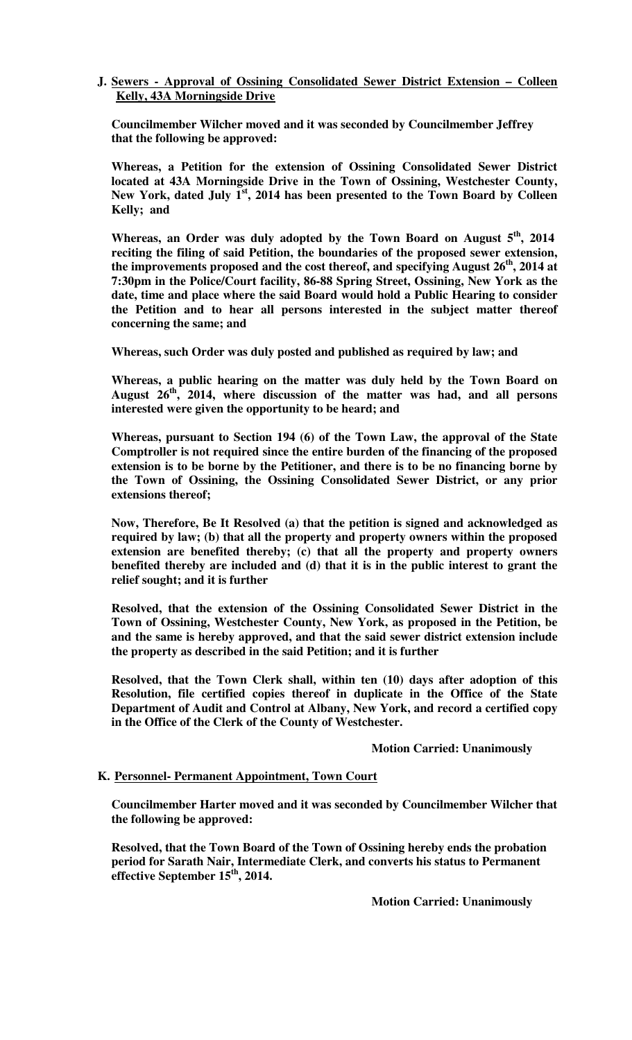#### **J. Sewers - Approval of Ossining Consolidated Sewer District Extension – Colleen Kelly, 43A Morningside Drive**

**Councilmember Wilcher moved and it was seconded by Councilmember Jeffrey that the following be approved:** 

**Whereas, a Petition for the extension of Ossining Consolidated Sewer District located at 43A Morningside Drive in the Town of Ossining, Westchester County, New York, dated July 1st, 2014 has been presented to the Town Board by Colleen Kelly; and** 

**Whereas, an Order was duly adopted by the Town Board on August 5th, 2014 reciting the filing of said Petition, the boundaries of the proposed sewer extension, the improvements proposed and the cost thereof, and specifying August 26th, 2014 at 7:30pm in the Police/Court facility, 86-88 Spring Street, Ossining, New York as the date, time and place where the said Board would hold a Public Hearing to consider the Petition and to hear all persons interested in the subject matter thereof concerning the same; and** 

**Whereas, such Order was duly posted and published as required by law; and** 

**Whereas, a public hearing on the matter was duly held by the Town Board on August 26th, 2014, where discussion of the matter was had, and all persons interested were given the opportunity to be heard; and** 

**Whereas, pursuant to Section 194 (6) of the Town Law, the approval of the State Comptroller is not required since the entire burden of the financing of the proposed extension is to be borne by the Petitioner, and there is to be no financing borne by the Town of Ossining, the Ossining Consolidated Sewer District, or any prior extensions thereof;** 

**Now, Therefore, Be It Resolved (a) that the petition is signed and acknowledged as required by law; (b) that all the property and property owners within the proposed extension are benefited thereby; (c) that all the property and property owners benefited thereby are included and (d) that it is in the public interest to grant the relief sought; and it is further** 

**Resolved, that the extension of the Ossining Consolidated Sewer District in the Town of Ossining, Westchester County, New York, as proposed in the Petition, be and the same is hereby approved, and that the said sewer district extension include the property as described in the said Petition; and it is further** 

**Resolved, that the Town Clerk shall, within ten (10) days after adoption of this Resolution, file certified copies thereof in duplicate in the Office of the State Department of Audit and Control at Albany, New York, and record a certified copy in the Office of the Clerk of the County of Westchester.** 

## **Motion Carried: Unanimously**

## **K. Personnel- Permanent Appointment, Town Court**

**Councilmember Harter moved and it was seconded by Councilmember Wilcher that the following be approved:** 

**Resolved, that the Town Board of the Town of Ossining hereby ends the probation period for Sarath Nair, Intermediate Clerk, and converts his status to Permanent effective September 15th, 2014.** 

 **Motion Carried: Unanimously**